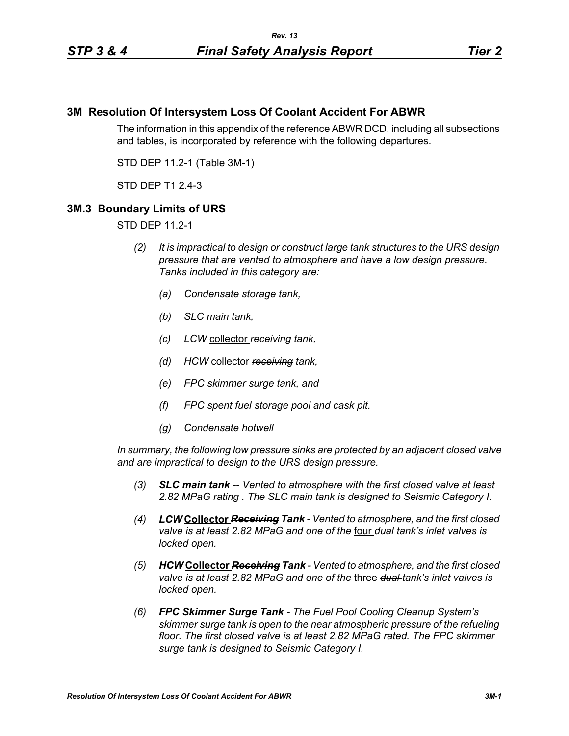# **3M Resolution Of Intersystem Loss Of Coolant Accident For ABWR**

The information in this appendix of the reference ABWR DCD, including all subsections and tables, is incorporated by reference with the following departures.

STD DEP 11.2-1 (Table 3M-1)

STD DEP T1 2.4-3

# **3M.3 Boundary Limits of URS**

STD DEP 11.2-1

- *(2) It is impractical to design or construct large tank structures to the URS design pressure that are vented to atmosphere and have a low design pressure. Tanks included in this category are:*
	- *(a) Condensate storage tank,*
	- *(b) SLC main tank,*
	- *(c) LCW* collector *receiving tank,*
	- *(d) HCW* collector *receiving tank,*
	- *(e) FPC skimmer surge tank, and*
	- *(f) FPC spent fuel storage pool and cask pit.*
	- *(g) Condensate hotwell*

*In summary, the following low pressure sinks are protected by an adjacent closed valve and are impractical to design to the URS design pressure.*

- *(3) SLC main tank -- Vented to atmosphere with the first closed valve at least 2.82 MPaG rating . The SLC main tank is designed to Seismic Category I.*
- *(4) LCW* **Collector** *Receiving Tank Vented to atmosphere, and the first closed valve is at least 2.82 MPaG and one of the* four *dual tank's inlet valves is locked open.*
- *(5) HCW* **Collector** *Receiving Tank Vented to atmosphere, and the first closed valve is at least 2.82 MPaG and one of the* three *dual tank's inlet valves is locked open.*
- *(6) FPC Skimmer Surge Tank The Fuel Pool Cooling Cleanup System's skimmer surge tank is open to the near atmospheric pressure of the refueling floor. The first closed valve is at least 2.82 MPaG rated. The FPC skimmer surge tank is designed to Seismic Category I.*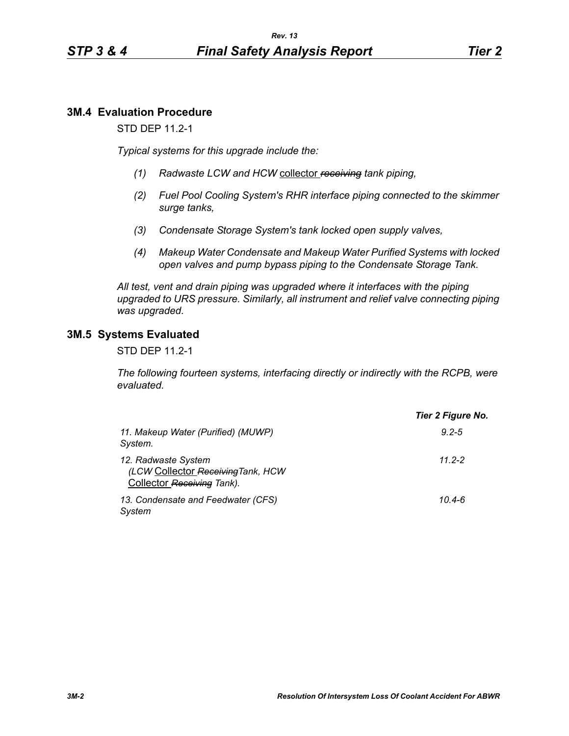## **3M.4 Evaluation Procedure**

STD DEP 11.2-1

*Typical systems for this upgrade include the:*

- *(1) Radwaste LCW and HCW* collector *receiving tank piping,*
- *(2) Fuel Pool Cooling System's RHR interface piping connected to the skimmer surge tanks,*
- *(3) Condensate Storage System's tank locked open supply valves,*
- *(4) Makeup Water Condensate and Makeup Water Purified Systems with locked open valves and pump bypass piping to the Condensate Storage Tank.*

*All test, vent and drain piping was upgraded where it interfaces with the piping upgraded to URS pressure. Similarly, all instrument and relief valve connecting piping was upgraded.*

#### **3M.5 Systems Evaluated**

STD DEP 11.2-1

*The following fourteen systems, interfacing directly or indirectly with the RCPB, were evaluated.*

|                                                                                         | Tier 2 Figure No. |
|-----------------------------------------------------------------------------------------|-------------------|
| 11. Makeup Water (Purified) (MUWP)<br>System.                                           | $9.2 - 5$         |
| 12. Radwaste System<br>(LCW Collector Receiving Tank, HCW<br>Collector Receiving Tank). | $11.2 - 2$        |
| 13. Condensate and Feedwater (CFS)<br>System                                            | $10.4 - 6$        |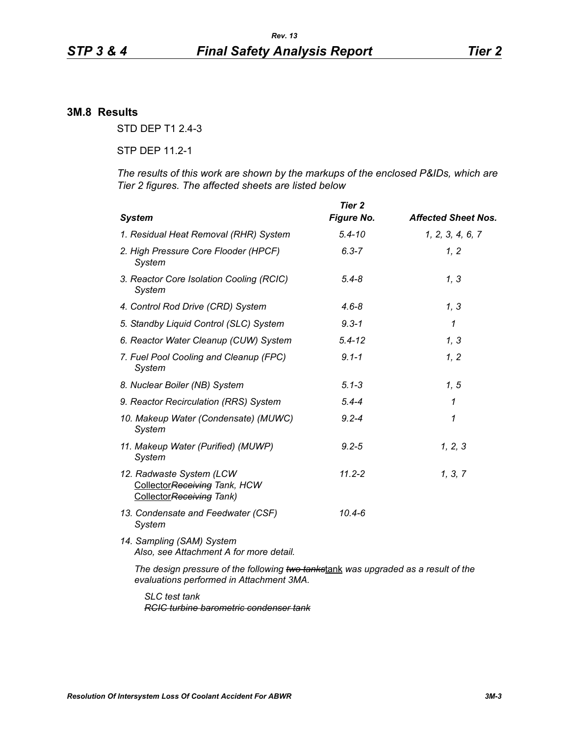## **3M.8 Results**

STD DEP T1 2.4-3

STP DEP 11.2-1

*The results of this work are shown by the markups of the enclosed P&IDs, which are Tier 2 figures. The affected sheets are listed below*

| <b>System</b>                                                                         | Tier 2<br><b>Figure No.</b> | <b>Affected Sheet Nos.</b> |
|---------------------------------------------------------------------------------------|-----------------------------|----------------------------|
| 1. Residual Heat Removal (RHR) System                                                 | $5.4 - 10$                  | 1, 2, 3, 4, 6, 7           |
| 2. High Pressure Core Flooder (HPCF)<br>System                                        | $6.3 - 7$                   | 1, 2                       |
| 3. Reactor Core Isolation Cooling (RCIC)<br>System                                    | $5.4 - 8$                   | 1, 3                       |
| 4. Control Rod Drive (CRD) System                                                     | $4.6 - 8$                   | 1, 3                       |
| 5. Standby Liquid Control (SLC) System                                                | $9.3 - 1$                   | $\mathcal I$               |
| 6. Reactor Water Cleanup (CUW) System                                                 | $5.4 - 12$                  | 1, 3                       |
| 7. Fuel Pool Cooling and Cleanup (FPC)<br>System                                      | $9.1 - 1$                   | 1, 2                       |
| 8. Nuclear Boiler (NB) System                                                         | $5.1 - 3$                   | 1, 5                       |
| 9. Reactor Recirculation (RRS) System                                                 | $5.4 - 4$                   | 1                          |
| 10. Makeup Water (Condensate) (MUWC)<br>System                                        | $9.2 - 4$                   | 1                          |
| 11. Makeup Water (Purified) (MUWP)<br>System                                          | $9.2 - 5$                   | 1, 2, 3                    |
| 12. Radwaste System (LCW<br>CollectorReceiving Tank, HCW<br>Collector Receiving Tank) | $11.2 - 2$                  | 1, 3, 7                    |
| 13. Condensate and Feedwater (CSF)<br>System                                          | $10.4 - 6$                  |                            |
| 14. Sampling (SAM) System<br>Also, see Attachment A for more detail.                  |                             |                            |
| The design pressure of the following two tankstank was upgraded as a result of the    |                             |                            |

*evaluations performed in Attachment 3MA.*

*SLC test tank RCIC turbine barometric condenser tank*